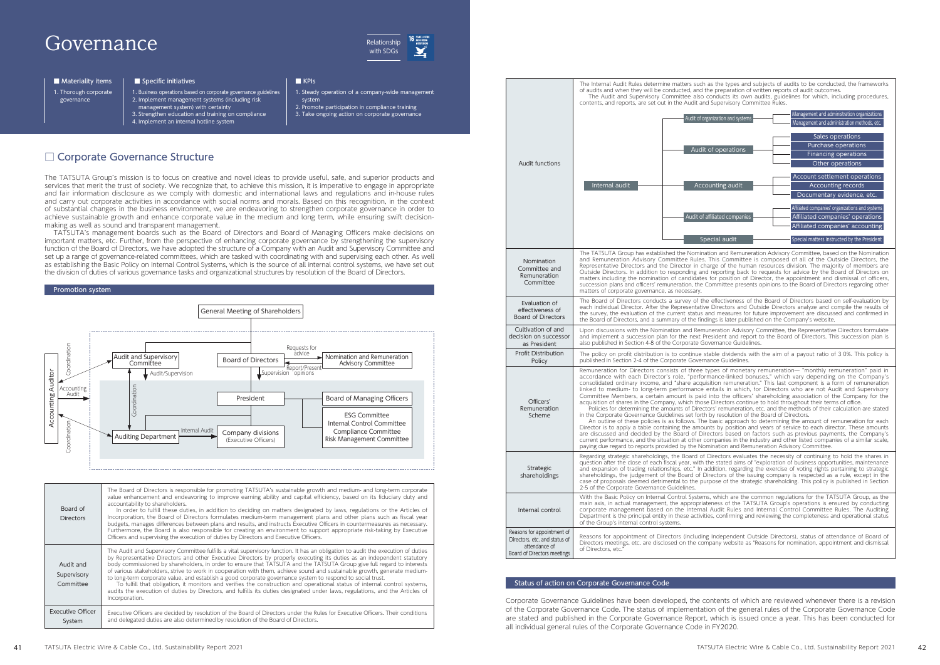1. Thorough corporate governance

| <b>Audit functions</b>                                                                                      | The Internal Audit Rules determine matters such a<br>of audits and when they will be conducted, and the<br>The Audit and Supervisory Committee also co<br>contents, and reports, are set out in the Audit and<br>Audit of orga<br>Audit c<br>Internal audit<br>Accou<br>Audit of aff<br>Spe                                                                                                                                                                                                                                                                                                                                                                                                    |  |
|-------------------------------------------------------------------------------------------------------------|------------------------------------------------------------------------------------------------------------------------------------------------------------------------------------------------------------------------------------------------------------------------------------------------------------------------------------------------------------------------------------------------------------------------------------------------------------------------------------------------------------------------------------------------------------------------------------------------------------------------------------------------------------------------------------------------|--|
| Nomination<br>Committee and<br>Remuneration<br>Committee                                                    | The TATSUTA Group has established the Nominati<br>and Remuneration Advisory Committee Rules. T<br>Representative Directors and the Director in char<br>Outside Directors. In addition to responding and<br>matters including the nomination of candidates f<br>succession plans and officers' remuneration, the Co<br>matters of corporate governance, as necessary.                                                                                                                                                                                                                                                                                                                           |  |
| Evaluation of<br>effectiveness of<br><b>Board of Directors</b>                                              | The Board of Directors conducts a survey of the<br>each individual Director. After the Representative<br>the survey, the evaluation of the current status an<br>the Board of Directors, and a summary of the findir                                                                                                                                                                                                                                                                                                                                                                                                                                                                            |  |
| Cultivation of and<br>decision on successor<br>as President                                                 | Upon discussions with the Nomination and Remur<br>and implement a succession plan for the next Pre<br>also published in Section 4-8 of the Corporate Gov                                                                                                                                                                                                                                                                                                                                                                                                                                                                                                                                       |  |
| <b>Profit Distribution</b><br>Policy                                                                        | The policy on profit distribution is to continue sta<br>published in Section 2-4 of the Corporate Governar                                                                                                                                                                                                                                                                                                                                                                                                                                                                                                                                                                                     |  |
| Officers'<br>Remuneration<br>Scheme                                                                         | Remuneration for Directors consists of three ty<br>accordance with each Director's role, "perform<br>consolidated ordinary income, and "share acquisi<br>linked to medium- to long-term performance er<br>Committee Members, a certain amount is paid i<br>acquisition of shares in the Company, which those<br>Policies for determining the amounts of Directo<br>in the Corporate Governance Guidelines set forth b<br>An outline of these policies is as follows. The b<br>Director is to apply a table containing the amount<br>are discussed and decided by the Board of Direo<br>current performance, and the situation at other cor<br>paying due regard to reports provided by the Nom |  |
| Strategic<br>shareholdings                                                                                  | Regarding strategic shareholdings, the Board of D<br>question after the close of each fiscal year, with th<br>and expansion of trading relationships, etc." In ad<br>shareholdings, the judgement of the Board of Dir<br>case of proposals deemed detrimental to the purp<br>2-5 of the Corporate Governance Guidelines.                                                                                                                                                                                                                                                                                                                                                                       |  |
| Internal control                                                                                            | With the Basic Policy on Internal Control Systems,<br>main axis, in actual management, the appropriate<br>corporate management based on the Internal,<br>Department is the principal entity in these activitie.<br>of the Group's internal control systems.                                                                                                                                                                                                                                                                                                                                                                                                                                    |  |
| Reasons for appointment of<br>Directors, etc. and status of<br>attendance of<br>Board of Directors meetings | Reasons for appointment of Directors (including<br>Directors meetings, etc. are disclosed on the comp<br>of Directors, etc.'                                                                                                                                                                                                                                                                                                                                                                                                                                                                                                                                                                   |  |

s the types and subjects of audits to be conducted, the frameworks e preparation of written reports of audit outcomes onducts its own audits, guidelines for which, including procedures, Supervisory Committee Rules.

| Audit of organization and systems | Management and administration organizations<br>Management and administration methods, etc. |
|-----------------------------------|--------------------------------------------------------------------------------------------|
|                                   |                                                                                            |
|                                   | Sales operations                                                                           |
| Audit of operations               | Purchase operations                                                                        |
|                                   | <b>Financing operations</b>                                                                |
|                                   | Other operations                                                                           |
|                                   | Account settlement operations                                                              |
| Accounting audit                  | <b>Accounting records</b>                                                                  |
|                                   | Documentary evidence, etc.                                                                 |
|                                   | Affiliated companies' organizations and systems                                            |
| Audit of affiliated companies     | Affiliated companies' operations                                                           |
|                                   | Affiliated companies' accounting                                                           |
| Special audit                     | Special matters instructed by the President                                                |

on and Remuneration Advisory Committee, based on the Nomination This Committee is composed of all of the Outside Directors, the rge of the human resources division. The majority of members are outside Directors. In addition to provide by the Board of Directors on for position of Director, the appointment and dismissal of officers, ommittee presents opinions to the Board of Directors regarding other

effectiveness of the Board of Directors based on self-evaluation by Directors and Outside Directors analyze and compile the results of the survey for survey in the evaluation of the current and confirmed in hgs is later published on the Company's website.

neration Advisory Committee, the Representative Directors formulate sident and report to the Board of Directors. This succession plan is ernance Guidelines.

able dividends with the aim of a payout ratio of 3 0%. This policy is pre Guidelines

pes of monetary remuneration— "monthly remuneration" paid in pes of monetary remanciation in monthly remanciation para in performance-linked bonuses." which vary depending on the Company's caried milities bondses, "When Yar, "depending on the company's tion remuneration." This last component is a form of remuneration. ntails in which, for Directors who are not Audit and Supervisory nto the officers' shareholding association of the Company for the Directors continue to hold throughout their terms of office. rs' remuneration, etc. and the methods of their calculation are stated

by resolution of the Board of Directors.

 $\alpha$  oasic approach to determining the amount of remuneration for each ts by position and years of service to each director. These amounts ctors based on factors such as previous payments, the Company's mpanies in the industry and other listed companies of a similar scale, ination and Remuneration Advisory Committee

lirectors evaluates the necessity of continuing to hold the shares in e stated aims of "exploration of business opportunities, maintenance ldition, regarding the exercise of voting rights pertaining to strategic ectors of the issuing company is respected as a rule, except in the pose of the strategic shareholding. This policy is published in Section

which are the common regulations for the TATSUTA Group, as the milion are the common regalations for the milion management, as the integrations of the TATSUTA Group's operations is ensured by conducting Audit Rules and Internal Control Committee Rules. The Auditing es, confirming and reviewing the completeness and operational status

Independent Outside Directors), status of attendance of Board of pany website as "Reasons for nomination, appointment and dismissal

**Relationship** with SDGs

# □ Corporate Governance Structure



1. Business operations based on corporate governance guidelines 2. Implement management systems (including risk

management system) with certainty

3. Strengthen education and training on compliance

4. Implement an internal hotline system

#### Promotion system

#### Status of action on Corporate Governance Code

The TATSUTA Group's mission is to focus on creative and novel ideas to provide useful, safe, and superior products and services that merit the trust of society. We recognize that, to achieve this mission, it is imperative to engage in appropriate and fair information disclosure as we comply with domestic and international laws and regulations and in-house rules and carry out corporate activities in accordance with social norms and morals. Based on this recognition, in the context of substantial changes in the business environment, we are endeavoring to strengthen corporate governance in order to achieve sustainable growth and enhance corporate value in the medium and long term, while ensuring swift decisionmaking as well as sound and transparent management.

TATSUTA's management boards such as the Board of Directors and Board of Managing Officers make decisions on important matters, etc. Further, from the perspective of enhancing corporate governance by strengthening the supervisory function of the Board of Directors, we have adopted the structure of a Company with an Audit and Supervisory Committee and set up a range of governance-related committees, which are tasked with coordinating with and supervising each other. As well as establishing the Basic Policy on Internal Control Systems, which is the source of all internal control systems, we have set out the division of duties of various governance tasks and organizational structures by resolution of the Board of Directors.

> Corporate Governance Guidelines have been developed, the contents of which are reviewed whenever there is a revision of the Corporate Governance Code. The status of implementation of the general rules of the Corporate Governance Code are stated and published in the Corporate Governance Report, which is issued once a year. This has been conducted for all individual general rules of the Corporate Governance Code in FY2020.

- 
- 
- 1. Steady operation of a company-wide management
	- system
		- 2. Promote participation in compliance training 3. Take ongoing action on corporate governance

| Board of<br><b>Directors</b>          | The Board of Directors is responsible for promoting TATSUTA's sustainable growth and medium- and long-term corporate<br>value enhancement and endeavoring to improve earning ability and capital efficiency, based on its fiduciary duty and<br>accountability to shareholders.<br>In order to fulfill these duties, in addition to deciding on matters designated by laws, regulations or the Articles of<br>Incorporation, the Board of Directors formulates medium-term management plans and other plans such as fiscal year<br>budgets, manages differences between plans and results, and instructs Executive Officers in countermeasures as necessary.<br>Furthermore, the Board is also responsible for creating an environment to support appropriate risk-taking by Executive<br>Officers and supervising the execution of duties by Directors and Executive Officers.                               |
|---------------------------------------|---------------------------------------------------------------------------------------------------------------------------------------------------------------------------------------------------------------------------------------------------------------------------------------------------------------------------------------------------------------------------------------------------------------------------------------------------------------------------------------------------------------------------------------------------------------------------------------------------------------------------------------------------------------------------------------------------------------------------------------------------------------------------------------------------------------------------------------------------------------------------------------------------------------|
| Audit and<br>Supervisory<br>Committee | The Audit and Supervisory Committee fulfills a vital supervisory function. It has an obligation to audit the execution of duties<br>by Representative Directors and other Executive Directors by properly executing its duties as an independent statutory<br>body commissioned by shareholders, in order to ensure that TATSUTA and the TATSUTA Group give full regard to interests<br>of various stakeholders, strive to work in cooperation with them, achieve sound and sustainable growth, generate medium-<br>to long-term corporate value, and establish a good corporate governance system to respond to social trust.<br>To fulfill that obligation, it monitors and verifies the construction and operational status of internal control systems,<br>audits the execution of duties by Directors, and fulfills its duties designated under laws, regulations, and the Articles of<br>Incorporation. |
| <b>Executive Officer</b><br>System    | Executive Officers are decided by resolution of the Board of Directors under the Rules for Executive Officers. Their conditions<br>and delegated duties are also determined by resolution of the Board of Directors.                                                                                                                                                                                                                                                                                                                                                                                                                                                                                                                                                                                                                                                                                          |

# Governance

### ■ Materiality items | ■ Specific initiatives | ■ KPIs